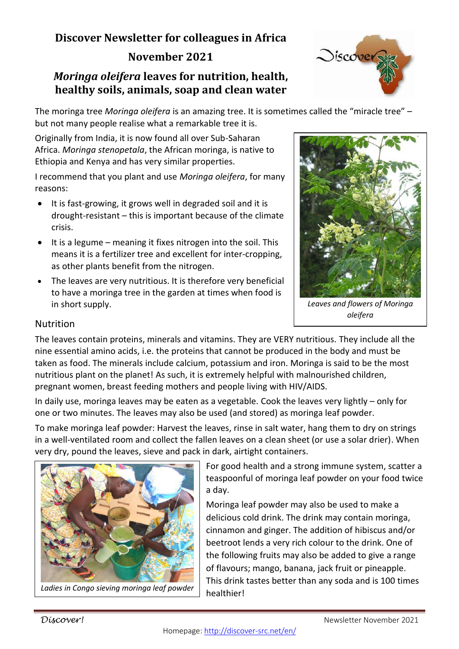# **Discover Newsletter for colleagues in Africa November 2021**

### *Moringa oleifera* **leaves for nutrition, health, healthy soils, animals, soap and clean water**

The moringa tree *Moringa oleifera* is an amazing tree. It is sometimes called the "miracle tree" – but not many people realise what a remarkable tree it is.

Originally from India, it is now found all over Sub-Saharan Africa. *Moringa stenopetala*, the African moringa, is native to Ethiopia and Kenya and has very similar properties.

I recommend that you plant and use *Moringa oleifera*, for many reasons:

- It is fast-growing, it grows well in degraded soil and it is drought-resistant – this is important because of the climate crisis.
- It is a legume meaning it fixes nitrogen into the soil. This means it is a fertilizer tree and excellent for inter-cropping, as other plants benefit from the nitrogen.
- The leaves are very nutritious. It is therefore very beneficial to have a moringa tree in the garden at times when food is in short supply.



Oiscover

*Leaves and flowers of Moringa oleifera*

#### Nutrition

The leaves contain proteins, minerals and vitamins. They are VERY nutritious. They include all the nine essential amino acids, i.e. the proteins that cannot be produced in the body and must be taken as food. The minerals include calcium, potassium and iron. Moringa is said to be the most nutritious plant on the planet! As such, it is extremely helpful with malnourished children, pregnant women, breast feeding mothers and people living with HIV/AIDS.

In daily use, moringa leaves may be eaten as a vegetable. Cook the leaves very lightly – only for one or two minutes. The leaves may also be used (and stored) as moringa leaf powder.

To make moringa leaf powder: Harvest the leaves, rinse in salt water, hang them to dry on strings in a well-ventilated room and collect the fallen leaves on a clean sheet (or use a solar drier). When very dry, pound the leaves, sieve and pack in dark, airtight containers.



*Ladies in Congo sieving moringa leaf powder* 

For good health and a strong immune system, scatter a teaspoonful of moringa leaf powder on your food twice a day.

Moringa leaf powder may also be used to make a delicious cold drink. The drink may contain moringa, cinnamon and ginger. The addition of hibiscus and/or beetroot lends a very rich colour to the drink. One of the following fruits may also be added to give a range of flavours; mango, banana, jack fruit or pineapple. This drink tastes better than any soda and is 100 times healthier!